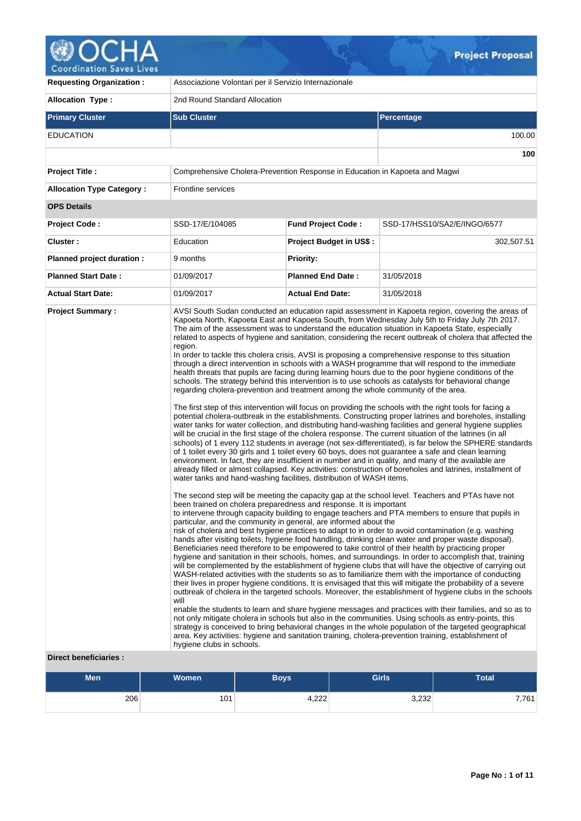

**Requesting Organization :** Associazione Volontari per il Servizio Internazionale Allocation Type : 2nd Round Standard Allocation **Primary Cluster Sub Cluster Sub Cluster** Sub Cluster Sub Cluster Sub Cluster Sub Cluster Sub Cluster Sub Cluster EDUCATION 100.00 **100 Project Title :** Comprehensive Cholera-Prevention Response in Education in Kapoeta and Magwi **Allocation Type Category :** Frontline services **OPS Details Project Code :** SSD-17/E/104085 **Fund Project Code :** SSD-17/HSS10/SA2/E/INGO/6577 **Cluster :**  $\qquad \qquad$  Education **Project Budget in US\$ :** 302,507.51 **Planned project duration :** 9 months **Planned Priority: Planned Start Date :** 01/09/2017 **Planned End Date :** 31/05/2018 **Actual Start Date:** 01/09/2017 **Actual End Date:** 31/05/2018 **Project Summary :** AVSI South Sudan conducted an education rapid assessment in Kapoeta region, covering the areas of Kapoeta North, Kapoeta East and Kapoeta South, from Wednesday July 5th to Friday July 7th 2017. The aim of the assessment was to understand the education situation in Kapoeta State, especially related to aspects of hygiene and sanitation, considering the recent outbreak of cholera that affected the region. In order to tackle this cholera crisis, AVSI is proposing a comprehensive response to this situation through a direct intervention in schools with a WASH programme that will respond to the immediate health threats that pupils are facing during learning hours due to the poor hygiene conditions of the schools. The strategy behind this intervention is to use schools as catalysts for behavioral change regarding cholera-prevention and treatment among the whole community of the area. The first step of this intervention will focus on providing the schools with the right tools for facing a potential cholera-outbreak in the establishments. Constructing proper latrines and boreholes, installing water tanks for water collection, and distributing hand-washing facilities and general hygiene supplies will be crucial in the first stage of the cholera response. The current situation of the latrines (in all schools) of 1 every 112 students in average (not sex-differentiated), is far below the SPHERE standards of 1 toilet every 30 girls and 1 toilet every 60 boys, does not guarantee a safe and clean learning environment. In fact, they are insufficient in number and in quality, and many of the available are already filled or almost collapsed. Key activities: construction of boreholes and latrines, installment of water tanks and hand-washing facilities, distribution of WASH items. The second step will be meeting the capacity gap at the school level. Teachers and PTAs have not been trained on cholera preparedness and response. It is important to intervene through capacity building to engage teachers and PTA members to ensure that pupils in particular, and the community in general, are informed about the risk of cholera and best hygiene practices to adapt to in order to avoid contamination (e.g. washing hands after visiting toilets, hygiene food handling, drinking clean water and proper waste disposal). Beneficiaries need therefore to be empowered to take control of their health by practicing proper hygiene and sanitation in their schools, homes, and surroundings. In order to accomplish that, training will be complemented by the establishment of hygiene clubs that will have the objective of carrying out WASH-related activities with the students so as to familiarize them with the importance of conducting their lives in proper hygiene conditions. It is envisaged that this will mitigate the probability of a severe outbreak of cholera in the targeted schools. Moreover, the establishment of hygiene clubs in the schools will enable the students to learn and share hygiene messages and practices with their families, and so as to not only mitigate cholera in schools but also in the communities. Using schools as entry-points, this strategy is conceived to bring behavioral changes in the whole population of the targeted geographical area. Key activities: hygiene and sanitation training, cholera-prevention training, establishment of hygiene clubs in schools.

# **Direct beneficiaries :**

| <b>Men</b> | Women <sup>1</sup> | Boys' | <b>Girls</b> | <b>Total</b> |
|------------|--------------------|-------|--------------|--------------|
| 206        | 101                | 4,222 | 3,232        | 7,761        |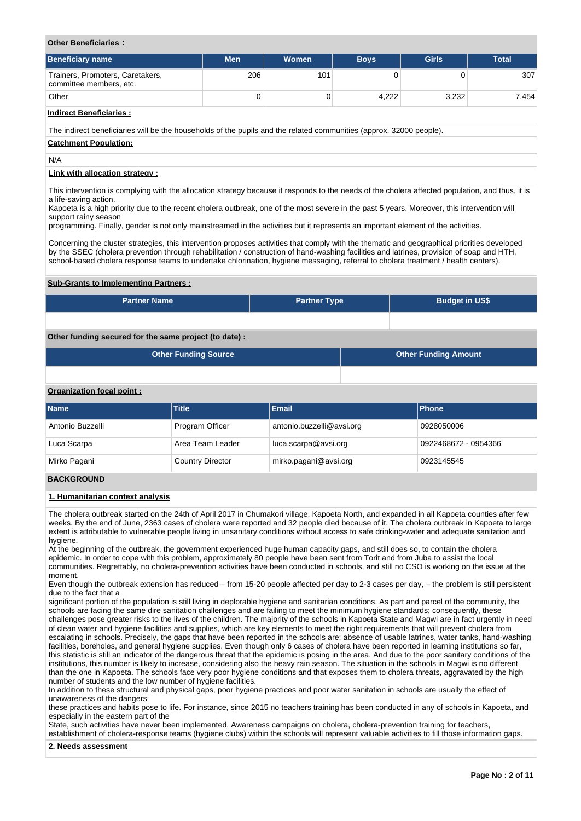### **Other Beneficiaries :**

| Beneficiary name                                            | <b>Men</b> | <b>Women</b> | <b>Boys</b> | <b>Girls</b> | <b>Total</b> |
|-------------------------------------------------------------|------------|--------------|-------------|--------------|--------------|
| Trainers, Promoters, Caretakers,<br>committee members, etc. | 206        | 101          |             |              | 307          |
| Other                                                       |            |              | 4.222       | 3,232        | 7.454        |

# **Indirect Beneficiaries :**

The indirect beneficiaries will be the households of the pupils and the related communities (approx. 32000 people).

#### **Catchment Population:**

N/A

### **Link with allocation strategy :**

This intervention is complying with the allocation strategy because it responds to the needs of the cholera affected population, and thus, it is a life-saving action.

Kapoeta is a high priority due to the recent cholera outbreak, one of the most severe in the past 5 years. Moreover, this intervention will support rainy season

programming. Finally, gender is not only mainstreamed in the activities but it represents an important element of the activities.

Concerning the cluster strategies, this intervention proposes activities that comply with the thematic and geographical priorities developed by the SSEC (cholera prevention through rehabilitation / construction of hand-washing facilities and latrines, provision of soap and HTH, school-based cholera response teams to undertake chlorination, hygiene messaging, referral to cholera treatment / health centers).

### **Sub-Grants to Implementing Partners :**

| <b>Partner Name</b> | <b>Partner Type</b> | <b>Budget in US\$</b> |
|---------------------|---------------------|-----------------------|
|                     |                     |                       |

# **Other funding secured for the same project (to date) :**

| <b>Other Funding Source</b> | Other Funding Amount |
|-----------------------------|----------------------|
|                             |                      |

### **Organization focal point :**

| <b>Name</b>      | <b>Title</b>            | <b>Email</b>              | <b>Phone</b>         |
|------------------|-------------------------|---------------------------|----------------------|
| Antonio Buzzelli | Program Officer         | antonio.buzzelli@avsi.org | 0928050006           |
| Luca Scarpa      | Area Team Leader        | luca.scarpa@avsi.org      | 0922468672 - 0954366 |
| Mirko Pagani     | <b>Country Director</b> | mirko.pagani@avsi.org     | 0923145545           |

### **BACKGROUND**

#### **1. Humanitarian context analysis**

The cholera outbreak started on the 24th of April 2017 in Chumakori village, Kapoeta North, and expanded in all Kapoeta counties after few weeks. By the end of June, 2363 cases of cholera were reported and 32 people died because of it. The cholera outbreak in Kapoeta to large extent is attributable to vulnerable people living in unsanitary conditions without access to safe drinking-water and adequate sanitation and hygiene.

At the beginning of the outbreak, the government experienced huge human capacity gaps, and still does so, to contain the cholera epidemic. In order to cope with this problem, approximately 80 people have been sent from Torit and from Juba to assist the local communities. Regrettably, no cholera-prevention activities have been conducted in schools, and still no CSO is working on the issue at the moment.

Even though the outbreak extension has reduced – from 15-20 people affected per day to 2-3 cases per day, – the problem is still persistent due to the fact that a

significant portion of the population is still living in deplorable hygiene and sanitarian conditions. As part and parcel of the community, the schools are facing the same dire sanitation challenges and are failing to meet the minimum hygiene standards; consequently, these challenges pose greater risks to the lives of the children. The majority of the schools in Kapoeta State and Magwi are in fact urgently in need of clean water and hygiene facilities and supplies, which are key elements to meet the right requirements that will prevent cholera from escalating in schools. Precisely, the gaps that have been reported in the schools are: absence of usable latrines, water tanks, hand-washing facilities, boreholes, and general hygiene supplies. Even though only 6 cases of cholera have been reported in learning institutions so far, this statistic is still an indicator of the dangerous threat that the epidemic is posing in the area. And due to the poor sanitary conditions of the institutions, this number is likely to increase, considering also the heavy rain season. The situation in the schools in Magwi is no different than the one in Kapoeta. The schools face very poor hygiene conditions and that exposes them to cholera threats, aggravated by the high number of students and the low number of hygiene facilities.

In addition to these structural and physical gaps, poor hygiene practices and poor water sanitation in schools are usually the effect of unawareness of the dangers

these practices and habits pose to life. For instance, since 2015 no teachers training has been conducted in any of schools in Kapoeta, and especially in the eastern part of the

State, such activities have never been implemented. Awareness campaigns on cholera, cholera-prevention training for teachers, establishment of cholera-response teams (hygiene clubs) within the schools will represent valuable activities to fill those information gaps.

**2. Needs assessment**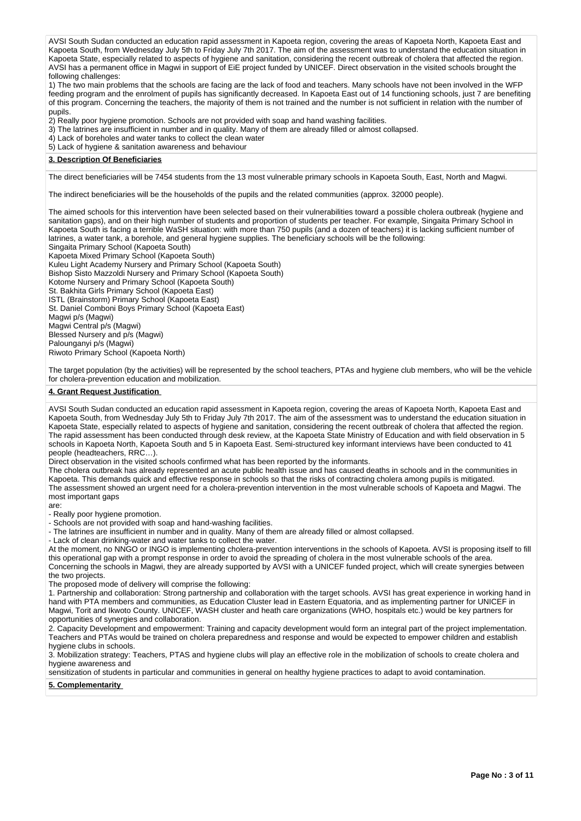AVSI South Sudan conducted an education rapid assessment in Kapoeta region, covering the areas of Kapoeta North, Kapoeta East and Kapoeta South, from Wednesday July 5th to Friday July 7th 2017. The aim of the assessment was to understand the education situation in Kapoeta State, especially related to aspects of hygiene and sanitation, considering the recent outbreak of cholera that affected the region. AVSI has a permanent office in Magwi in support of EiE project funded by UNICEF. Direct observation in the visited schools brought the following challenges:

1) The two main problems that the schools are facing are the lack of food and teachers. Many schools have not been involved in the WFP feeding program and the enrolment of pupils has significantly decreased. In Kapoeta East out of 14 functioning schools, just 7 are benefiting of this program. Concerning the teachers, the majority of them is not trained and the number is not sufficient in relation with the number of pupils.

2) Really poor hygiene promotion. Schools are not provided with soap and hand washing facilities.

3) The latrines are insufficient in number and in quality. Many of them are already filled or almost collapsed.

4) Lack of boreholes and water tanks to collect the clean water

5) Lack of hygiene & sanitation awareness and behaviour

### **3. Description Of Beneficiaries**

The direct beneficiaries will be 7454 students from the 13 most vulnerable primary schools in Kapoeta South, East, North and Magwi.

The indirect beneficiaries will be the households of the pupils and the related communities (approx. 32000 people).

The aimed schools for this intervention have been selected based on their vulnerabilities toward a possible cholera outbreak (hygiene and sanitation gaps), and on their high number of students and proportion of students per teacher. For example, Singaita Primary School in Kapoeta South is facing a terrible WaSH situation: with more than 750 pupils (and a dozen of teachers) it is lacking sufficient number of latrines, a water tank, a borehole, and general hygiene supplies. The beneficiary schools will be the following: Singaita Primary School (Kapoeta South)

Kapoeta Mixed Primary School (Kapoeta South)

Kuleu Light Academy Nursery and Primary School (Kapoeta South)

Bishop Sisto Mazzoldi Nursery and Primary School (Kapoeta South)

Kotome Nursery and Primary School (Kapoeta South)

St. Bakhita Girls Primary School (Kapoeta East)

ISTL (Brainstorm) Primary School (Kapoeta East) St. Daniel Comboni Boys Primary School (Kapoeta East)

Magwi p/s (Magwi)

Magwi Central p/s (Magwi)

Blessed Nursery and p/s (Magwi)

Palounganyi p/s (Magwi)

Riwoto Primary School (Kapoeta North)

The target population (by the activities) will be represented by the school teachers, PTAs and hygiene club members, who will be the vehicle for cholera-prevention education and mobilization.

## **4. Grant Request Justification**

AVSI South Sudan conducted an education rapid assessment in Kapoeta region, covering the areas of Kapoeta North, Kapoeta East and Kapoeta South, from Wednesday July 5th to Friday July 7th 2017. The aim of the assessment was to understand the education situation in Kapoeta State, especially related to aspects of hygiene and sanitation, considering the recent outbreak of cholera that affected the region. The rapid assessment has been conducted through desk review, at the Kapoeta State Ministry of Education and with field observation in 5 schools in Kapoeta North, Kapoeta South and 5 in Kapoeta East. Semi-structured key informant interviews have been conducted to 41 people (headteachers, RRC…).

Direct observation in the visited schools confirmed what has been reported by the informants.

The cholera outbreak has already represented an acute public health issue and has caused deaths in schools and in the communities in Kapoeta. This demands quick and effective response in schools so that the risks of contracting cholera among pupils is mitigated. The assessment showed an urgent need for a cholera-prevention intervention in the most vulnerable schools of Kapoeta and Magwi. The most important gaps

are:

- Really poor hygiene promotion.

- Schools are not provided with soap and hand-washing facilities.

- The latrines are insufficient in number and in quality. Many of them are already filled or almost collapsed.

- Lack of clean drinking-water and water tanks to collect the water.

At the moment, no NNGO or INGO is implementing cholera-prevention interventions in the schools of Kapoeta. AVSI is proposing itself to fill this operational gap with a prompt response in order to avoid the spreading of cholera in the most vulnerable schools of the area. Concerning the schools in Magwi, they are already supported by AVSI with a UNICEF funded project, which will create synergies between the two projects.

The proposed mode of delivery will comprise the following:

1. Partnership and collaboration: Strong partnership and collaboration with the target schools. AVSI has great experience in working hand in hand with PTA members and communities, as Education Cluster lead in Eastern Equatoria, and as implementing partner for UNICEF in Magwi, Torit and Ikwoto County. UNICEF, WASH cluster and heath care organizations (WHO, hospitals etc.) would be key partners for opportunities of synergies and collaboration.

2. Capacity Development and empowerment: Training and capacity development would form an integral part of the project implementation. Teachers and PTAs would be trained on cholera preparedness and response and would be expected to empower children and establish hygiene clubs in schools.

3. Mobilization strategy: Teachers, PTAS and hygiene clubs will play an effective role in the mobilization of schools to create cholera and hygiene awareness and

sensitization of students in particular and communities in general on healthy hygiene practices to adapt to avoid contamination.

**5. Complementarity**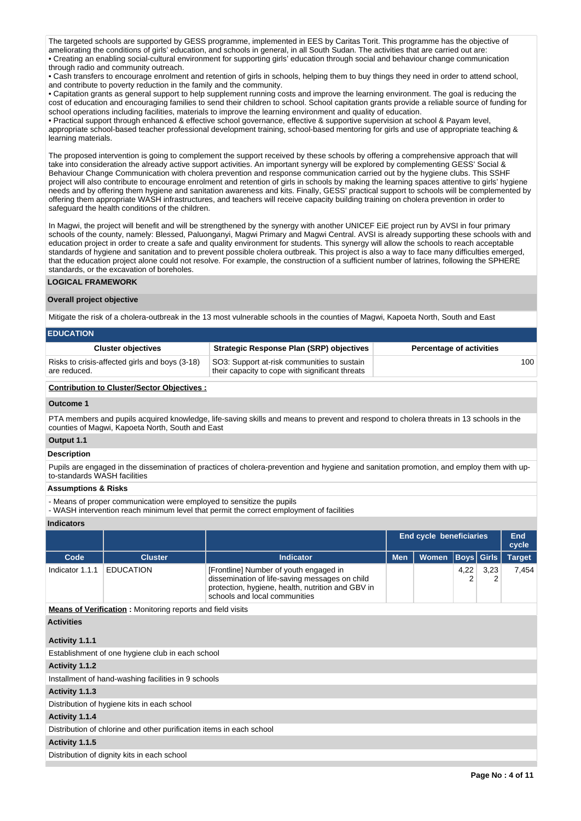The targeted schools are supported by GESS programme, implemented in EES by Caritas Torit. This programme has the objective of ameliorating the conditions of girls' education, and schools in general, in all South Sudan. The activities that are carried out are: • Creating an enabling social-cultural environment for supporting girls' education through social and behaviour change communication through radio and community outreach.

• Cash transfers to encourage enrolment and retention of girls in schools, helping them to buy things they need in order to attend school, and contribute to poverty reduction in the family and the community.

• Capitation grants as general support to help supplement running costs and improve the learning environment. The goal is reducing the cost of education and encouraging families to send their children to school. School capitation grants provide a reliable source of funding for school operations including facilities, materials to improve the learning environment and quality of education.

• Practical support through enhanced & effective school governance, effective & supportive supervision at school & Payam level, appropriate school-based teacher professional development training, school-based mentoring for girls and use of appropriate teaching & learning materials.

The proposed intervention is going to complement the support received by these schools by offering a comprehensive approach that will take into consideration the already active support activities. An important synergy will be explored by complementing GESS' Social & Behaviour Change Communication with cholera prevention and response communication carried out by the hygiene clubs. This SSHF project will also contribute to encourage enrolment and retention of girls in schools by making the learning spaces attentive to girls' hygiene needs and by offering them hygiene and sanitation awareness and kits. Finally, GESS' practical support to schools will be complemented by offering them appropriate WASH infrastructures, and teachers will receive capacity building training on cholera prevention in order to safeguard the health conditions of the children.

In Magwi, the project will benefit and will be strengthened by the synergy with another UNICEF EiE project run by AVSI in four primary schools of the county, namely: Blessed, Paluonganyi, Magwi Primary and Magwi Central. AVSI is already supporting these schools with and education project in order to create a safe and quality environment for students. This synergy will allow the schools to reach acceptable standards of hygiene and sanitation and to prevent possible cholera outbreak. This project is also a way to face many difficulties emerged, that the education project alone could not resolve. For example, the construction of a sufficient number of latrines, following the SPHERE standards, or the excavation of boreholes.

## **LOGICAL FRAMEWORK**

### **Overall project objective**

Mitigate the risk of a cholera-outbreak in the 13 most vulnerable schools in the counties of Magwi, Kapoeta North, South and East

### **EDUCATION**

| <b>Cluster objectives</b>                                      | <b>Strategic Response Plan (SRP) objectives</b>                                                | <b>Percentage of activities</b> |
|----------------------------------------------------------------|------------------------------------------------------------------------------------------------|---------------------------------|
| Risks to crisis-affected girls and boys (3-18)<br>are reduced. | SO3: Support at-risk communities to sustain<br>their capacity to cope with significant threats | 100-                            |

### **Contribution to Cluster/Sector Objectives :**

### **Outcome 1**

PTA members and pupils acquired knowledge, life-saving skills and means to prevent and respond to cholera threats in 13 schools in the counties of Magwi, Kapoeta North, South and East

## **Output 1.1**

# **Description**

Pupils are engaged in the dissemination of practices of cholera-prevention and hygiene and sanitation promotion, and employ them with upto-standards WASH facilities

### **Assumptions & Risks**

- Means of proper communication were employed to sensitize the pupils

- WASH intervention reach minimum level that permit the correct employment of facilities

### **Indicators**

|                                                             |                  |                                                                                                                                                                                |            | End cycle beneficiaries |      |      |               |  |  |  |
|-------------------------------------------------------------|------------------|--------------------------------------------------------------------------------------------------------------------------------------------------------------------------------|------------|-------------------------|------|------|---------------|--|--|--|
| Code                                                        | <b>Cluster</b>   | <b>Indicator</b>                                                                                                                                                               | <b>Men</b> | Women   Boys   Girls    |      |      | <b>Target</b> |  |  |  |
| Indicator 1.1.1                                             | <b>EDUCATION</b> | [Frontline] Number of youth engaged in<br>dissemination of life-saving messages on child<br>protection, hygiene, health, nutrition and GBV in<br>schools and local communities |            |                         | 4,22 | 3.23 | 7.454         |  |  |  |
| Means of Varification - Menitoring reports and field violta |                  |                                                                                                                                                                                |            |                         |      |      |               |  |  |  |

**Means of Verification :** Monitoring reports and field visits

### **Activities**

### **Activity 1.1.1**

| Establishment of one hygiene club in each school                     |
|----------------------------------------------------------------------|
| Activity 1.1.2                                                       |
| Installment of hand-washing facilities in 9 schools                  |
| Activity 1.1.3                                                       |
| Distribution of hygiene kits in each school                          |
| Activity 1.1.4                                                       |
| Distribution of chlorine and other purification items in each school |
| Activity 1.1.5                                                       |
| Distribution of dignity kits in each school                          |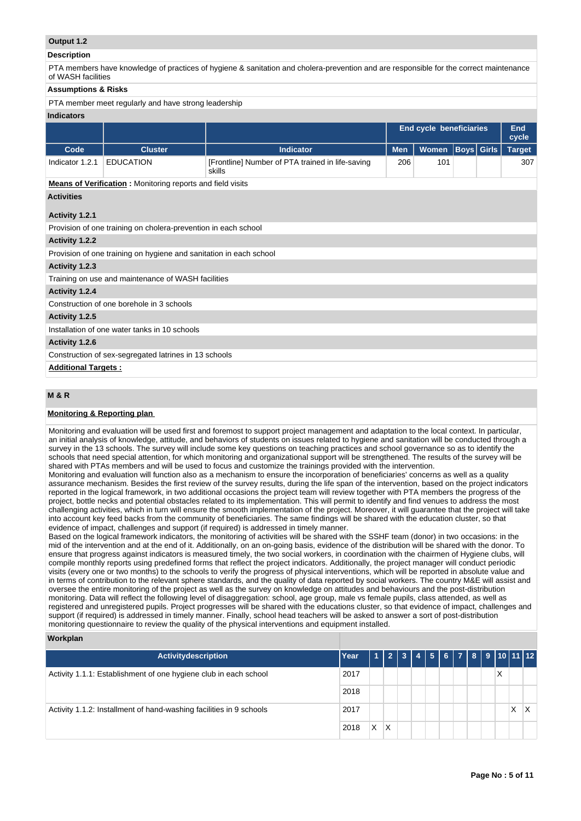## **Output 1.2**

### **Description**

PTA members have knowledge of practices of hygiene & sanitation and cholera-prevention and are responsible for the correct maintenance of WASH facilities

### **Assumptions & Risks**

# **Indicators**

|                   |                  |                                                            |            | <b>End cycle beneficiaries</b> |  |  |               |
|-------------------|------------------|------------------------------------------------------------|------------|--------------------------------|--|--|---------------|
| Code <sup>1</sup> | <b>Cluster</b>   | <b>Indicator</b>                                           | <b>Men</b> | Women   Boys   Girls   1       |  |  | <b>Target</b> |
| Indicator 1.2.1   | <b>EDUCATION</b> | [Frontline] Number of PTA trained in life-saving<br>skills | 206        | 101                            |  |  | 307           |

**Means of Verification :** Monitoring reports and field visits

## **Activities**

# **Activity 1.2.1**

Provision of one training on cholera-prevention in each school

## **Activity 1.2.2**

Provision of one training on hygiene and sanitation in each school

### **Activity 1.2.3**

Training on use and maintenance of WASH facilities

### **Activity 1.2.4**

Construction of one borehole in 3 schools

## **Activity 1.2.5**

Installation of one water tanks in 10 schools

## **Activity 1.2.6**

Construction of sex-segregated latrines in 13 schools

## **Additional Targets :**

# **M & R**

### **Monitoring & Reporting plan**

Monitoring and evaluation will be used first and foremost to support project management and adaptation to the local context. In particular, an initial analysis of knowledge, attitude, and behaviors of students on issues related to hygiene and sanitation will be conducted through a survey in the 13 schools. The survey will include some key questions on teaching practices and school governance so as to identify the schools that need special attention, for which monitoring and organizational support will be strengthened. The results of the survey will be shared with PTAs members and will be used to focus and customize the trainings provided with the intervention.

Monitoring and evaluation will function also as a mechanism to ensure the incorporation of beneficiaries' concerns as well as a quality assurance mechanism. Besides the first review of the survey results, during the life span of the intervention, based on the project indicators reported in the logical framework, in two additional occasions the project team will review together with PTA members the progress of the project, bottle necks and potential obstacles related to its implementation. This will permit to identify and find venues to address the most challenging activities, which in turn will ensure the smooth implementation of the project. Moreover, it will guarantee that the project will take into account key feed backs from the community of beneficiaries. The same findings will be shared with the education cluster, so that evidence of impact, challenges and support (if required) is addressed in timely manner.

Based on the logical framework indicators, the monitoring of activities will be shared with the SSHF team (donor) in two occasions: in the mid of the intervention and at the end of it. Additionally, on an on-going basis, evidence of the distribution will be shared with the donor. To ensure that progress against indicators is measured timely, the two social workers, in coordination with the chairmen of Hygiene clubs, will compile monthly reports using predefined forms that reflect the project indicators. Additionally, the project manager will conduct periodic visits (every one or two months) to the schools to verify the progress of physical interventions, which will be reported in absolute value and in terms of contribution to the relevant sphere standards, and the quality of data reported by social workers. The country M&E will assist and oversee the entire monitoring of the project as well as the survey on knowledge on attitudes and behaviours and the post-distribution monitoring. Data will reflect the following level of disaggregation: school, age group, male vs female pupils, class attended, as well as registered and unregistered pupils. Project progresses will be shared with the educations cluster, so that evidence of impact, challenges and support (if required) is addressed in timely manner. Finally, school head teachers will be asked to answer a sort of post-distribution monitoring questionnaire to review the quality of the physical interventions and equipment installed.

## **Workplan**

| <b>Activitydescription</b>                                          | Year |   |   | 1 2 3 4 5 6 7 8 9 10 11 12 |  |  |                   |   |  |
|---------------------------------------------------------------------|------|---|---|----------------------------|--|--|-------------------|---|--|
| Activity 1.1.1: Establishment of one hygiene club in each school    | 2017 |   |   |                            |  |  | $\checkmark$<br>⋏ |   |  |
| 2018                                                                |      |   |   |                            |  |  |                   |   |  |
| Activity 1.1.2: Installment of hand-washing facilities in 9 schools |      |   |   |                            |  |  |                   | X |  |
|                                                                     |      | X | X |                            |  |  |                   |   |  |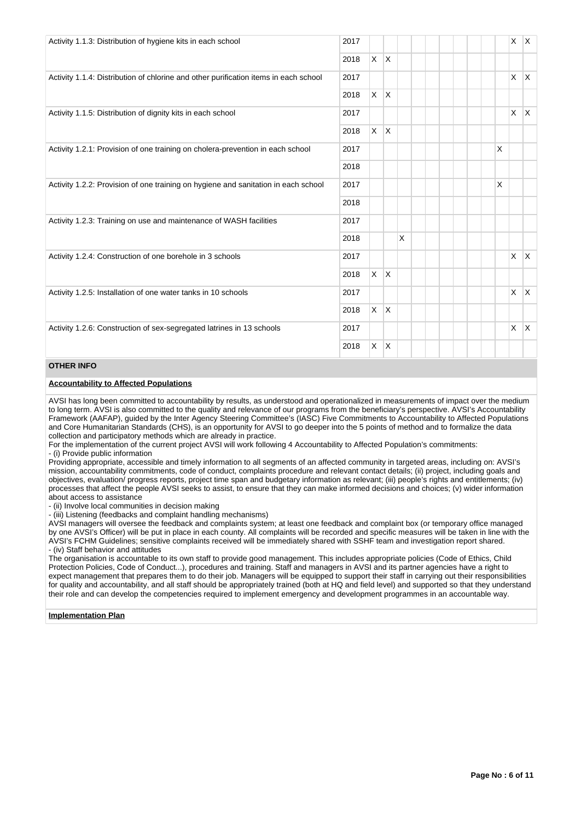| Activity 1.1.3: Distribution of hygiene kits in each school                          | 2017 |          |              |   |  |   |                                                               |              |
|--------------------------------------------------------------------------------------|------|----------|--------------|---|--|---|---------------------------------------------------------------|--------------|
|                                                                                      | 2018 |          | $X$ $X$      |   |  |   | $x \mathbf{x}$<br>$\times$<br>X<br>$x \mid x$<br>$\mathsf{X}$ |              |
| Activity 1.1.4: Distribution of chlorine and other purification items in each school | 2017 |          |              |   |  |   |                                                               | $\mathsf{X}$ |
|                                                                                      | 2018 |          | $X$ $X$      |   |  |   |                                                               |              |
| Activity 1.1.5: Distribution of dignity kits in each school                          | 2017 |          |              |   |  |   |                                                               | X            |
|                                                                                      | 2018 | $\times$ | $\mathsf{X}$ |   |  |   |                                                               |              |
| Activity 1.2.1: Provision of one training on cholera-prevention in each school       | 2017 |          |              |   |  | X |                                                               |              |
|                                                                                      | 2018 |          |              |   |  |   |                                                               |              |
| Activity 1.2.2: Provision of one training on hygiene and sanitation in each school   | 2017 |          |              |   |  | X |                                                               |              |
|                                                                                      | 2018 |          |              |   |  |   |                                                               |              |
| Activity 1.2.3: Training on use and maintenance of WASH facilities                   | 2017 |          |              |   |  |   |                                                               |              |
|                                                                                      | 2018 |          |              | X |  |   |                                                               |              |
| Activity 1.2.4: Construction of one borehole in 3 schools                            | 2017 |          |              |   |  |   |                                                               |              |
|                                                                                      | 2018 |          | $X$ $X$      |   |  |   |                                                               |              |
| Activity 1.2.5: Installation of one water tanks in 10 schools                        | 2017 |          |              |   |  |   |                                                               | $\mathsf{X}$ |
|                                                                                      | 2018 |          | $X$ $X$      |   |  |   |                                                               |              |
| Activity 1.2.6: Construction of sex-segregated latrines in 13 schools                | 2017 |          |              |   |  |   | X                                                             | $\mathsf{X}$ |
|                                                                                      | 2018 |          | $X$ $X$      |   |  |   |                                                               |              |

# **OTHER INFO**

# **Accountability to Affected Populations**

AVSI has long been committed to accountability by results, as understood and operationalized in measurements of impact over the medium to long term. AVSI is also committed to the quality and relevance of our programs from the beneficiary's perspective. AVSI's Accountability Framework (AAFAP), guided by the Inter Agency Steering Committee's (IASC) Five Commitments to Accountability to Affected Populations and Core Humanitarian Standards (CHS), is an opportunity for AVSI to go deeper into the 5 points of method and to formalize the data collection and participatory methods which are already in practice.

For the implementation of the current project AVSI will work following 4 Accountability to Affected Population's commitments:

- (i) Provide public information

Providing appropriate, accessible and timely information to all segments of an affected community in targeted areas, including on: AVSI's mission, accountability commitments, code of conduct, complaints procedure and relevant contact details; (ii) project, including goals and objectives, evaluation/ progress reports, project time span and budgetary information as relevant; (iii) people's rights and entitlements; (iv) processes that affect the people AVSI seeks to assist, to ensure that they can make informed decisions and choices; (v) wider information about access to assistance

- (ii) Involve local communities in decision making

- (iii) Listening (feedbacks and complaint handling mechanisms)

AVSI managers will oversee the feedback and complaints system; at least one feedback and complaint box (or temporary office managed by one AVSI's Officer) will be put in place in each county. All complaints will be recorded and specific measures will be taken in line with the AVSI's FCHM Guidelines; sensitive complaints received will be immediately shared with SSHF team and investigation report shared. - (iv) Staff behavior and attitudes

The organisation is accountable to its own staff to provide good management. This includes appropriate policies (Code of Ethics, Child Protection Policies, Code of Conduct...), procedures and training. Staff and managers in AVSI and its partner agencies have a right to expect management that prepares them to do their job. Managers will be equipped to support their staff in carrying out their responsibilities for quality and accountability, and all staff should be appropriately trained (both at HQ and field level) and supported so that they understand their role and can develop the competencies required to implement emergency and development programmes in an accountable way.

### **Implementation Plan**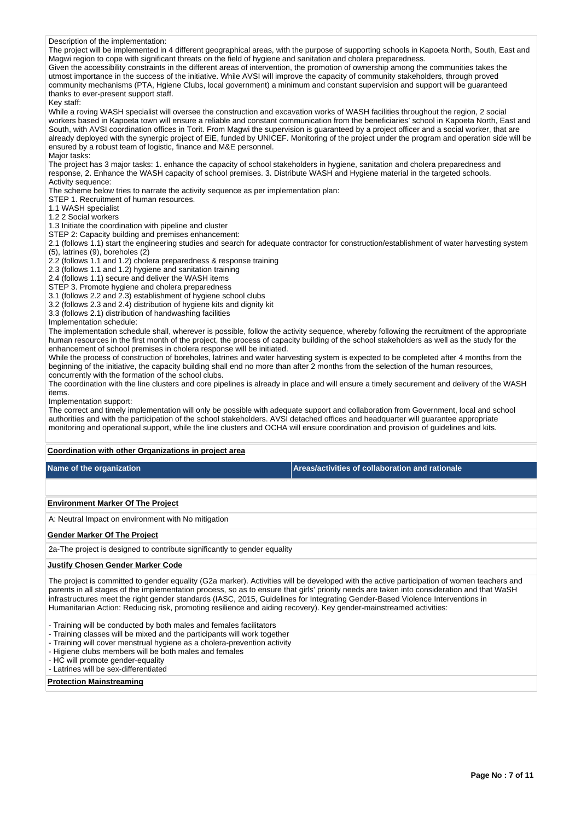Description of the implementation:

The project will be implemented in 4 different geographical areas, with the purpose of supporting schools in Kapoeta North, South, East and Magwi region to cope with significant threats on the field of hygiene and sanitation and cholera preparedness.

Given the accessibility constraints in the different areas of intervention, the promotion of ownership among the communities takes the utmost importance in the success of the initiative. While AVSI will improve the capacity of community stakeholders, through proved community mechanisms (PTA, Hgiene Clubs, local government) a minimum and constant supervision and support will be guaranteed thanks to ever-present support staff.

Key staff:

While a roving WASH specialist will oversee the construction and excavation works of WASH facilities throughout the region, 2 social workers based in Kapoeta town will ensure a reliable and constant communication from the beneficiaries' school in Kapoeta North, East and South, with AVSI coordination offices in Torit. From Magwi the supervision is guaranteed by a project officer and a social worker, that are already deployed with the synergic project of EiE, funded by UNICEF. Monitoring of the project under the program and operation side will be ensured by a robust team of logistic, finance and M&E personnel. Major tasks:

The project has 3 major tasks: 1. enhance the capacity of school stakeholders in hygiene, sanitation and cholera preparedness and response, 2. Enhance the WASH capacity of school premises. 3. Distribute WASH and Hygiene material in the targeted schools. Activity sequence:

The scheme below tries to narrate the activity sequence as per implementation plan:

STEP 1. Recruitment of human resources.

1.1 WASH specialist

1.2 2 Social workers

1.3 Initiate the coordination with pipeline and cluster

STEP 2: Capacity building and premises enhancement:

2.1 (follows 1.1) start the engineering studies and search for adequate contractor for construction/establishment of water harvesting system (5), latrines (9), boreholes (2)

2.2 (follows 1.1 and 1.2) cholera preparedness & response training

2.3 (follows 1.1 and 1.2) hygiene and sanitation training

2.4 (follows 1.1) secure and deliver the WASH items

STEP 3. Promote hygiene and cholera preparedness

3.1 (follows 2.2 and 2.3) establishment of hygiene school clubs

3.2 (follows 2.3 and 2.4) distribution of hygiene kits and dignity kit

3.3 (follows 2.1) distribution of handwashing facilities

Implementation schedule:

The implementation schedule shall, wherever is possible, follow the activity sequence, whereby following the recruitment of the appropriate human resources in the first month of the project, the process of capacity building of the school stakeholders as well as the study for the enhancement of school premises in cholera response will be initiated.

While the process of construction of boreholes, latrines and water harvesting system is expected to be completed after 4 months from the beginning of the initiative, the capacity building shall end no more than after 2 months from the selection of the human resources, concurrently with the formation of the school clubs.

The coordination with the line clusters and core pipelines is already in place and will ensure a timely securement and delivery of the WASH items.

Implementation support:

The correct and timely implementation will only be possible with adequate support and collaboration from Government, local and school authorities and with the participation of the school stakeholders. AVSI detached offices and headquarter will guarantee appropriate monitoring and operational support, while the line clusters and OCHA will ensure coordination and provision of guidelines and kits.

**Coordination with other Organizations in project area**

**Name of the organization Areas/activities of collaboration and rationale** 

### **Environment Marker Of The Project**

A: Neutral Impact on environment with No mitigation

#### **Gender Marker Of The Project**

2a-The project is designed to contribute significantly to gender equality

#### **Justify Chosen Gender Marker Code**

The project is committed to gender equality (G2a marker). Activities will be developed with the active participation of women teachers and parents in all stages of the implementation process, so as to ensure that girls' priority needs are taken into consideration and that WaSH infrastructures meet the right gender standards (IASC, 2015, Guidelines for Integrating Gender-Based Violence Interventions in Humanitarian Action: Reducing risk, promoting resilience and aiding recovery). Key gender-mainstreamed activities:

- Training will be conducted by both males and females facilitators

- Training classes will be mixed and the participants will work together
- Training will cover menstrual hygiene as a cholera-prevention activity
- Higiene clubs members will be both males and females

- HC will promote gender-equality

- Latrines will be sex-differentiated

**Protection Mainstreaming**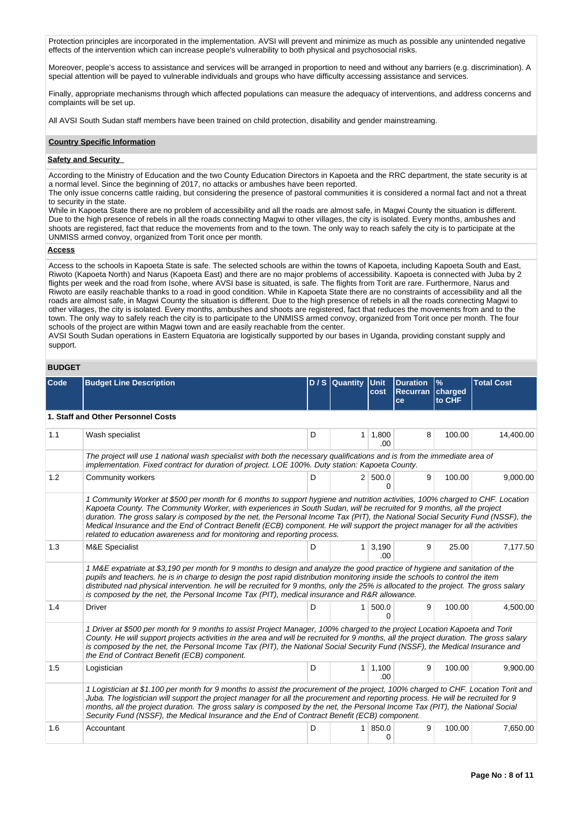Protection principles are incorporated in the implementation. AVSI will prevent and minimize as much as possible any unintended negative effects of the intervention which can increase people's vulnerability to both physical and psychosocial risks.

Moreover, people's access to assistance and services will be arranged in proportion to need and without any barriers (e.g. discrimination). A special attention will be payed to vulnerable individuals and groups who have difficulty accessing assistance and services.

Finally, appropriate mechanisms through which affected populations can measure the adequacy of interventions, and address concerns and complaints will be set up.

All AVSI South Sudan staff members have been trained on child protection, disability and gender mainstreaming.

#### **Country Specific Information**

### **Safety and Security**

According to the Ministry of Education and the two County Education Directors in Kapoeta and the RRC department, the state security is at a normal level. Since the beginning of 2017, no attacks or ambushes have been reported.

The only issue concerns cattle raiding, but considering the presence of pastoral communities it is considered a normal fact and not a threat to security in the state.

While in Kapoeta State there are no problem of accessibility and all the roads are almost safe, in Magwi County the situation is different. Due to the high presence of rebels in all the roads connecting Magwi to other villages, the city is isolated. Every months, ambushes and shoots are registered, fact that reduce the movements from and to the town. The only way to reach safely the city is to participate at the UNMISS armed convoy, organized from Torit once per month.

# **Access**

Access to the schools in Kapoeta State is safe. The selected schools are within the towns of Kapoeta, including Kapoeta South and East, Riwoto (Kapoeta North) and Narus (Kapoeta East) and there are no major problems of accessibility. Kapoeta is connected with Juba by 2 flights per week and the road from Isohe, where AVSI base is situated, is safe. The flights from Torit are rare. Furthermore, Narus and Riwoto are easily reachable thanks to a road in good condition. While in Kapoeta State there are no constraints of accessibility and all the roads are almost safe, in Magwi County the situation is different. Due to the high presence of rebels in all the roads connecting Magwi to other villages, the city is isolated. Every months, ambushes and shoots are registered, fact that reduces the movements from and to the town. The only way to safely reach the city is to participate to the UNMISS armed convoy, organized from Torit once per month. The four schools of the project are within Magwi town and are easily reachable from the center. AVSI South Sudan operations in Eastern Equatoria are logistically supported by our bases in Uganda, providing constant supply and

support.

# **BUDGET**

| Code | <b>Budget Line Description</b>                                                                                                                                                                                                                                                                                                                                                                                                                                                                                                                                                                          |   | D / S Quantity Unit | cost                    | <b>Duration</b><br><b>Recurran</b><br><b>ce</b> | $\%$<br>charged<br>to CHF | <b>Total Cost</b> |  |  |  |
|------|---------------------------------------------------------------------------------------------------------------------------------------------------------------------------------------------------------------------------------------------------------------------------------------------------------------------------------------------------------------------------------------------------------------------------------------------------------------------------------------------------------------------------------------------------------------------------------------------------------|---|---------------------|-------------------------|-------------------------------------------------|---------------------------|-------------------|--|--|--|
|      |                                                                                                                                                                                                                                                                                                                                                                                                                                                                                                                                                                                                         |   |                     |                         |                                                 |                           |                   |  |  |  |
|      | 1. Staff and Other Personnel Costs                                                                                                                                                                                                                                                                                                                                                                                                                                                                                                                                                                      |   |                     |                         |                                                 |                           |                   |  |  |  |
| 1.1  | Wash specialist                                                                                                                                                                                                                                                                                                                                                                                                                                                                                                                                                                                         | D | 1                   | 1,800<br>.00            | 8                                               | 100.00                    | 14,400.00         |  |  |  |
|      | The project will use 1 national wash specialist with both the necessary qualifications and is from the immediate area of<br>implementation. Fixed contract for duration of project. LOE 100%. Duty station: Kapoeta County.                                                                                                                                                                                                                                                                                                                                                                             |   |                     |                         |                                                 |                           |                   |  |  |  |
| 1.2  | Community workers                                                                                                                                                                                                                                                                                                                                                                                                                                                                                                                                                                                       | D |                     | 2 500.0<br><sup>0</sup> | 9                                               | 100.00                    | 9,000.00          |  |  |  |
|      | 1 Community Worker at \$500 per month for 6 months to support hygiene and nutrition activities, 100% charged to CHF. Location<br>Kapoeta County. The Community Worker, with experiences in South Sudan, will be recruited for 9 months, all the project<br>duration. The gross salary is composed by the net, the Personal Income Tax (PIT), the National Social Security Fund (NSSF), the<br>Medical Insurance and the End of Contract Benefit (ECB) component. He will support the project manager for all the activities<br>related to education awareness and for monitoring and reporting process. |   |                     |                         |                                                 |                           |                   |  |  |  |
| 1.3  | <b>M&amp;E Specialist</b>                                                                                                                                                                                                                                                                                                                                                                                                                                                                                                                                                                               | D |                     | $1 \mid 3.190$<br>.00   | 9                                               | 25.00                     | 7,177.50          |  |  |  |
|      | 1 M&E expatriate at \$3,190 per month for 9 months to design and analyze the good practice of hygiene and sanitation of the<br>pupils and teachers. he is in charge to design the post rapid distribution monitoring inside the schools to control the item<br>distributed nad physical intervention. he will be recruited for 9 months, only the 25% is allocated to the project. The gross salary<br>is composed by the net, the Personal Income Tax (PIT), medical insurance and R&R allowance.                                                                                                      |   |                     |                         |                                                 |                           |                   |  |  |  |
| 1.4  | <b>Driver</b>                                                                                                                                                                                                                                                                                                                                                                                                                                                                                                                                                                                           | D | 1 <sup>1</sup>      | 500.0<br>U              | 9                                               | 100.00                    | 4,500.00          |  |  |  |
|      | 1 Driver at \$500 per month for 9 months to assist Project Manager, 100% charged to the project Location Kapoeta and Torit<br>County. He will support projects activities in the area and will be recruited for 9 months, all the project duration. The gross salary<br>is composed by the net, the Personal Income Tax (PIT), the National Social Security Fund (NSSF), the Medical Insurance and<br>the End of Contract Benefit (ECB) component.                                                                                                                                                      |   |                     |                         |                                                 |                           |                   |  |  |  |
| 1.5  | Logistician                                                                                                                                                                                                                                                                                                                                                                                                                                                                                                                                                                                             | D |                     | $1 \mid 1,100$<br>.00   | 9                                               | 100.00                    | 9,900.00          |  |  |  |
|      | 1 Logistician at \$1.100 per month for 9 months to assist the procurement of the project, 100% charged to CHF. Location Torit and<br>Juba. The logistician will support the project manager for all the procurement and reporting process. He will be recruited for 9<br>months, all the project duration. The gross salary is composed by the net, the Personal Income Tax (PIT), the National Social<br>Security Fund (NSSF), the Medical Insurance and the End of Contract Benefit (ECB) component.                                                                                                  |   |                     |                         |                                                 |                           |                   |  |  |  |
| 1.6  | Accountant                                                                                                                                                                                                                                                                                                                                                                                                                                                                                                                                                                                              | D | 1                   | 850.0<br>0              | 9                                               | 100.00                    | 7,650.00          |  |  |  |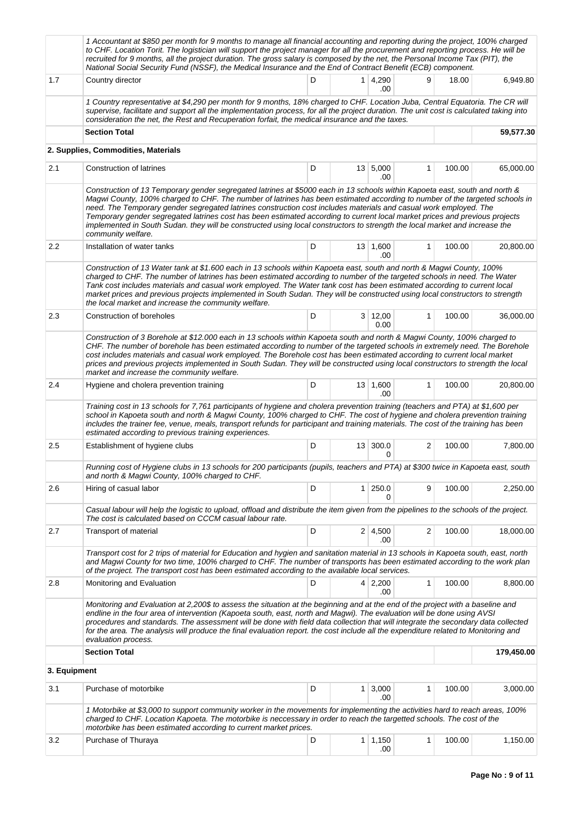|              | 1 Accountant at \$850 per month for 9 months to manage all financial accounting and reporting during the project, 100% charged<br>to CHF. Location Torit. The logistician will support the project manager for all the procurement and reporting process. He will be<br>recruited for 9 months, all the project duration. The gross salary is composed by the net, the Personal Income Tax (PIT), the<br>National Social Security Fund (NSSF), the Medical Insurance and the End of Contract Benefit (ECB) component.                                                                                                                                               |   |              |                        |                |        |            |  |  |  |
|--------------|---------------------------------------------------------------------------------------------------------------------------------------------------------------------------------------------------------------------------------------------------------------------------------------------------------------------------------------------------------------------------------------------------------------------------------------------------------------------------------------------------------------------------------------------------------------------------------------------------------------------------------------------------------------------|---|--------------|------------------------|----------------|--------|------------|--|--|--|
| 1.7          | Country director                                                                                                                                                                                                                                                                                                                                                                                                                                                                                                                                                                                                                                                    | D |              | 1 4,290<br>.00         | 9              | 18.00  | 6,949.80   |  |  |  |
|              | 1 Country representative at \$4,290 per month for 9 months, 18% charged to CHF. Location Juba, Central Equatoria. The CR will<br>supervise, facilitate and support all the implementation process, for all the project duration. The unit cost is calculated taking into<br>consideration the net, the Rest and Recuperation forfait, the medical insurance and the taxes.                                                                                                                                                                                                                                                                                          |   |              |                        |                |        |            |  |  |  |
|              | <b>Section Total</b>                                                                                                                                                                                                                                                                                                                                                                                                                                                                                                                                                                                                                                                |   |              |                        |                |        | 59,577.30  |  |  |  |
|              | 2. Supplies, Commodities, Materials                                                                                                                                                                                                                                                                                                                                                                                                                                                                                                                                                                                                                                 |   |              |                        |                |        |            |  |  |  |
| 2.1          | Construction of latrines                                                                                                                                                                                                                                                                                                                                                                                                                                                                                                                                                                                                                                            | D |              | 13 5,000<br>.00        | $\mathbf{1}$   | 100.00 | 65,000.00  |  |  |  |
|              | Construction of 13 Temporary gender segregated latrines at \$5000 each in 13 schools within Kapoeta east, south and north &<br>Magwi County, 100% charged to CHF. The number of latrines has been estimated according to number of the targeted schools in<br>need. The Temporary gender segregated latrines construction cost includes materials and casual work employed. The<br>Temporary gender segregated latrines cost has been estimated according to current local market prices and previous projects<br>implemented in South Sudan, they will be constructed using local constructors to strength the local market and increase the<br>community welfare. |   |              |                        |                |        |            |  |  |  |
| 2.2          | Installation of water tanks                                                                                                                                                                                                                                                                                                                                                                                                                                                                                                                                                                                                                                         | D |              | $13 \mid 1,600$<br>.00 | $\mathbf{1}$   | 100.00 | 20,800.00  |  |  |  |
|              | Construction of 13 Water tank at \$1.600 each in 13 schools within Kapoeta east, south and north & Magwi County, 100%<br>charged to CHF. The number of latrines has been estimated according to number of the targeted schools in need. The Water<br>Tank cost includes materials and casual work employed. The Water tank cost has been estimated according to current local<br>market prices and previous projects implemented in South Sudan. They will be constructed using local constructors to strength<br>the local market and increase the community welfare.                                                                                              |   |              |                        |                |        |            |  |  |  |
| 2.3          | Construction of boreholes                                                                                                                                                                                                                                                                                                                                                                                                                                                                                                                                                                                                                                           | D |              | 3 12,00<br>0.00        | $\mathbf{1}$   | 100.00 | 36,000.00  |  |  |  |
|              | Construction of 3 Borehole at \$12.000 each in 13 schools within Kapoeta south and north & Magwi County, 100% charged to<br>CHF. The number of borehole has been estimated according to number of the targeted schools in extremely need. The Borehole<br>cost includes materials and casual work employed. The Borehole cost has been estimated according to current local market<br>prices and previous projects implemented in South Sudan. They will be constructed using local constructors to strength the local<br>market and increase the community welfare.                                                                                                |   |              |                        |                |        |            |  |  |  |
| 2.4          | Hygiene and cholera prevention training                                                                                                                                                                                                                                                                                                                                                                                                                                                                                                                                                                                                                             | D |              | $13 \mid 1,600$<br>.00 | $\mathbf{1}$   | 100.00 | 20,800.00  |  |  |  |
|              | Training cost in 13 schools for 7,761 participants of hygiene and cholera prevention training (teachers and PTA) at \$1,600 per<br>school in Kapoeta south and north & Magwi County, 100% charged to CHF. The cost of hygiene and cholera prevention training<br>includes the trainer fee, venue, meals, transport refunds for participant and training materials. The cost of the training has been<br>estimated according to previous training experiences.                                                                                                                                                                                                       |   |              |                        |                |        |            |  |  |  |
| 2.5          | Establishment of hygiene clubs                                                                                                                                                                                                                                                                                                                                                                                                                                                                                                                                                                                                                                      | D |              | 13 300.0<br>0          | 2              | 100.00 | 7,800.00   |  |  |  |
|              | Running cost of Hygiene clubs in 13 schools for 200 participants (pupils, teachers and PTA) at \$300 twice in Kapoeta east, south<br>and north & Magwi County, 100% charged to CHF.                                                                                                                                                                                                                                                                                                                                                                                                                                                                                 |   |              |                        |                |        |            |  |  |  |
| 2.6          | Hiring of casual labor                                                                                                                                                                                                                                                                                                                                                                                                                                                                                                                                                                                                                                              | D | $\mathbf{1}$ | 250.0<br>0             | 9              | 100.00 | 2,250.00   |  |  |  |
|              | Casual labour will help the logistic to upload, offload and distribute the item given from the pipelines to the schools of the project.<br>The cost is calculated based on CCCM casual labour rate.                                                                                                                                                                                                                                                                                                                                                                                                                                                                 |   |              |                        |                |        |            |  |  |  |
| 2.7          | Transport of material                                                                                                                                                                                                                                                                                                                                                                                                                                                                                                                                                                                                                                               | D |              | $2 \mid 4,500$<br>.00  | $\overline{2}$ | 100.00 | 18,000.00  |  |  |  |
|              | Transport cost for 2 trips of material for Education and hygien and sanitation material in 13 schools in Kapoeta south, east, north<br>and Magwi County for two time, 100% charged to CHF. The number of transports has been estimated according to the work plan<br>of the project. The transport cost has been estimated according to the available local services.                                                                                                                                                                                                                                                                                               |   |              |                        |                |        |            |  |  |  |
| 2.8          | Monitoring and Evaluation                                                                                                                                                                                                                                                                                                                                                                                                                                                                                                                                                                                                                                           | D |              | $4 \mid 2,200$<br>.00  | $\mathbf{1}$   | 100.00 | 8,800.00   |  |  |  |
|              | Monitoring and Evaluation at 2,200\$ to assess the situation at the beginning and at the end of the project with a baseline and<br>endline in the four area of intervention (Kapoeta south, east, north and Magwi). The evaluation will be done using AVSI<br>procedures and standards. The assessment will be done with field data collection that will integrate the secondary data collected<br>for the area. The analysis will produce the final evaluation report, the cost include all the expenditure related to Monitoring and<br>evaluation process.                                                                                                       |   |              |                        |                |        |            |  |  |  |
|              | <b>Section Total</b>                                                                                                                                                                                                                                                                                                                                                                                                                                                                                                                                                                                                                                                |   |              |                        |                |        | 179,450.00 |  |  |  |
| 3. Equipment |                                                                                                                                                                                                                                                                                                                                                                                                                                                                                                                                                                                                                                                                     |   |              |                        |                |        |            |  |  |  |
| 3.1          | Purchase of motorbike                                                                                                                                                                                                                                                                                                                                                                                                                                                                                                                                                                                                                                               | D | 1            | 3,000<br>.00           | $\mathbf{1}$   | 100.00 | 3,000.00   |  |  |  |
|              | 1 Motorbike at \$3,000 to support community worker in the movements for implementing the activities hard to reach areas, 100%<br>charged to CHF. Location Kapoeta. The motorbike is neccessary in order to reach the targetted schools. The cost of the<br>motorbike has been estimated according to current market prices.                                                                                                                                                                                                                                                                                                                                         |   |              |                        |                |        |            |  |  |  |
| 3.2          | Purchase of Thuraya                                                                                                                                                                                                                                                                                                                                                                                                                                                                                                                                                                                                                                                 | D |              | $1 \mid 1,150$<br>.00  | 1              | 100.00 | 1,150.00   |  |  |  |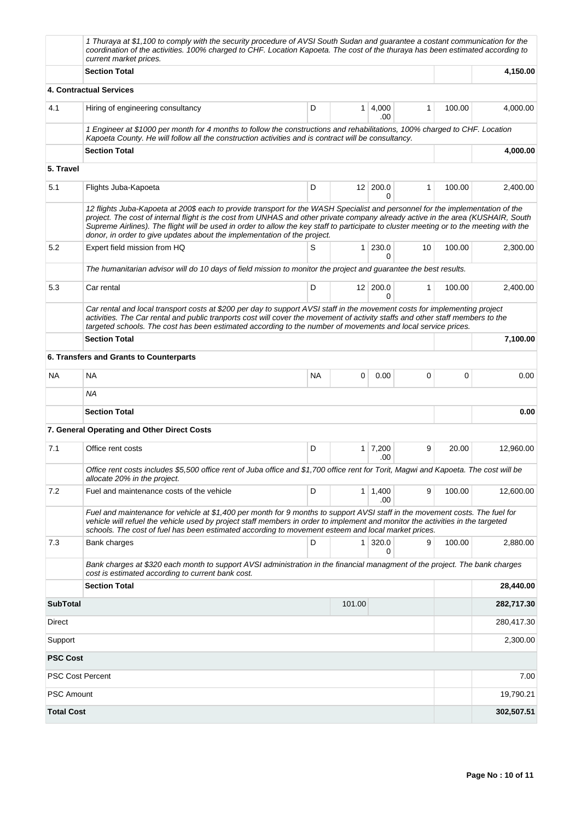|                         | 1 Thuraya at \$1,100 to comply with the security procedure of AVSI South Sudan and guarantee a costant communication for the<br>coordination of the activities. 100% charged to CHF. Location Kapoeta. The cost of the thuraya has been estimated according to<br>current market prices.                                                                                                                                                                                                  |           |                |                                 |              |        |            |  |  |  |
|-------------------------|-------------------------------------------------------------------------------------------------------------------------------------------------------------------------------------------------------------------------------------------------------------------------------------------------------------------------------------------------------------------------------------------------------------------------------------------------------------------------------------------|-----------|----------------|---------------------------------|--------------|--------|------------|--|--|--|
|                         | <b>Section Total</b>                                                                                                                                                                                                                                                                                                                                                                                                                                                                      |           |                |                                 |              |        | 4,150.00   |  |  |  |
|                         | <b>4. Contractual Services</b>                                                                                                                                                                                                                                                                                                                                                                                                                                                            |           |                |                                 |              |        |            |  |  |  |
| 4.1                     | Hiring of engineering consultancy                                                                                                                                                                                                                                                                                                                                                                                                                                                         | D         | 1              | 4,000<br>.00                    | 1            | 100.00 | 4,000.00   |  |  |  |
|                         | 1 Engineer at \$1000 per month for 4 months to follow the constructions and rehabilitations, 100% charged to CHF. Location<br>Kapoeta County. He will follow all the construction activities and is contract will be consultancy.                                                                                                                                                                                                                                                         |           |                |                                 |              |        |            |  |  |  |
|                         | <b>Section Total</b>                                                                                                                                                                                                                                                                                                                                                                                                                                                                      |           |                |                                 |              |        | 4,000.00   |  |  |  |
| 5. Travel               |                                                                                                                                                                                                                                                                                                                                                                                                                                                                                           |           |                |                                 |              |        |            |  |  |  |
| 5.1                     | Flights Juba-Kapoeta                                                                                                                                                                                                                                                                                                                                                                                                                                                                      | D         |                | $12 \mid 200.0$<br><sup>0</sup> | 1            | 100.00 | 2,400.00   |  |  |  |
|                         | 12 flights Juba-Kapoeta at 200\$ each to provide transport for the WASH Specialist and personnel for the implementation of the<br>project. The cost of internal flight is the cost from UNHAS and other private company already active in the area (KUSHAIR, South<br>Supreme Airlines). The flight will be used in order to allow the key staff to participate to cluster meeting or to the meeting with the<br>donor, in order to give updates about the implementation of the project. |           |                |                                 |              |        |            |  |  |  |
| 5.2                     | Expert field mission from HQ                                                                                                                                                                                                                                                                                                                                                                                                                                                              | S         | 1 <sup>1</sup> | 230.0<br>0                      | 10           | 100.00 | 2,300.00   |  |  |  |
|                         | The humanitarian advisor will do 10 days of field mission to monitor the project and guarantee the best results.                                                                                                                                                                                                                                                                                                                                                                          |           |                |                                 |              |        |            |  |  |  |
| 5.3                     | Car rental                                                                                                                                                                                                                                                                                                                                                                                                                                                                                | D         |                | $12 \mid 200.0$<br>$\Omega$     | $\mathbf{1}$ | 100.00 | 2,400.00   |  |  |  |
|                         | Car rental and local transport costs at \$200 per day to support AVSI staff in the movement costs for implementing project<br>activities. The Car rental and public tranports cost will cover the movement of activity staffs and other staff members to the<br>targeted schools. The cost has been estimated according to the number of movements and local service prices.                                                                                                              |           |                |                                 |              |        |            |  |  |  |
|                         | <b>Section Total</b>                                                                                                                                                                                                                                                                                                                                                                                                                                                                      |           |                |                                 |              |        | 7,100.00   |  |  |  |
|                         | 6. Transfers and Grants to Counterparts                                                                                                                                                                                                                                                                                                                                                                                                                                                   |           |                |                                 |              |        |            |  |  |  |
| <b>NA</b>               | NA                                                                                                                                                                                                                                                                                                                                                                                                                                                                                        | <b>NA</b> | 0              | 0.00                            | 0            | 0      | 0.00       |  |  |  |
|                         | NA                                                                                                                                                                                                                                                                                                                                                                                                                                                                                        |           |                |                                 |              |        |            |  |  |  |
|                         | <b>Section Total</b>                                                                                                                                                                                                                                                                                                                                                                                                                                                                      |           |                |                                 |              |        | 0.00       |  |  |  |
|                         | 7. General Operating and Other Direct Costs                                                                                                                                                                                                                                                                                                                                                                                                                                               |           |                |                                 |              |        |            |  |  |  |
| 7.1                     | Office rent costs                                                                                                                                                                                                                                                                                                                                                                                                                                                                         | D         | 1 <sup>1</sup> | 7,200<br>.00                    | 9            | 20.00  | 12,960.00  |  |  |  |
|                         | Office rent costs includes \$5,500 office rent of Juba office and \$1,700 office rent for Torit, Magwi and Kapoeta. The cost will be<br>allocate 20% in the project.                                                                                                                                                                                                                                                                                                                      |           |                |                                 |              |        |            |  |  |  |
| 7.2                     | Fuel and maintenance costs of the vehicle                                                                                                                                                                                                                                                                                                                                                                                                                                                 | D         | 1 <sup>1</sup> | 1,400<br>.00                    | 9            | 100.00 | 12,600.00  |  |  |  |
|                         | Fuel and maintenance for vehicle at \$1,400 per month for 9 months to support AVSI staff in the movement costs. The fuel for<br>vehicle will refuel the vehicle used by project staff members in order to implement and monitor the activities in the targeted<br>schools. The cost of fuel has been estimated according to movement esteem and local market prices.                                                                                                                      |           |                |                                 |              |        |            |  |  |  |
| 7.3                     | Bank charges                                                                                                                                                                                                                                                                                                                                                                                                                                                                              | D         | 1              | 320.0<br>0                      | 9            | 100.00 | 2,880.00   |  |  |  |
|                         | Bank charges at \$320 each month to support AVSI administration in the financial managment of the project. The bank charges<br>cost is estimated according to current bank cost.                                                                                                                                                                                                                                                                                                          |           |                |                                 |              |        |            |  |  |  |
|                         | <b>Section Total</b>                                                                                                                                                                                                                                                                                                                                                                                                                                                                      |           |                |                                 |              |        | 28,440.00  |  |  |  |
| <b>SubTotal</b>         |                                                                                                                                                                                                                                                                                                                                                                                                                                                                                           |           | 101.00         |                                 |              |        | 282,717.30 |  |  |  |
| Direct                  |                                                                                                                                                                                                                                                                                                                                                                                                                                                                                           |           |                |                                 |              |        | 280,417.30 |  |  |  |
| Support                 |                                                                                                                                                                                                                                                                                                                                                                                                                                                                                           |           |                |                                 |              |        | 2,300.00   |  |  |  |
| <b>PSC Cost</b>         |                                                                                                                                                                                                                                                                                                                                                                                                                                                                                           |           |                |                                 |              |        |            |  |  |  |
| <b>PSC Cost Percent</b> |                                                                                                                                                                                                                                                                                                                                                                                                                                                                                           |           |                |                                 |              |        | 7.00       |  |  |  |
| <b>PSC Amount</b>       |                                                                                                                                                                                                                                                                                                                                                                                                                                                                                           |           |                |                                 |              |        | 19,790.21  |  |  |  |
| <b>Total Cost</b>       |                                                                                                                                                                                                                                                                                                                                                                                                                                                                                           |           |                |                                 |              |        | 302,507.51 |  |  |  |